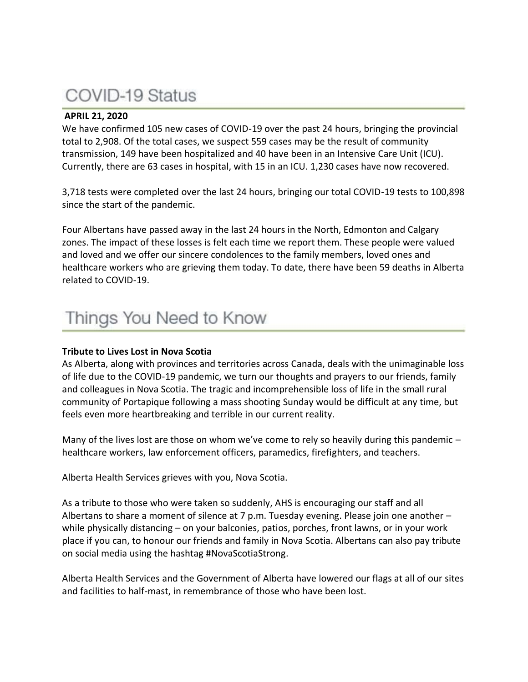### COVID-19 Status

#### **APRIL 21, 2020**

We have confirmed 105 new cases of COVID-19 over the past 24 hours, bringing the provincial total to 2,908. Of the total cases, we suspect 559 cases may be the result of community transmission, 149 have been hospitalized and 40 have been in an Intensive Care Unit (ICU). Currently, there are 63 cases in hospital, with 15 in an ICU. 1,230 cases have now recovered.

3,718 tests were completed over the last 24 hours, bringing our total COVID-19 tests to 100,898 since the start of the pandemic.

Four Albertans have passed away in the last 24 hours in the North, Edmonton and Calgary zones. The impact of these losses is felt each time we report them. These people were valued and loved and we offer our sincere condolences to the family members, loved ones and healthcare workers who are grieving them today. To date, there have been 59 deaths in Alberta related to COVID-19.

### Things You Need to Know

#### **Tribute to Lives Lost in Nova Scotia**

As Alberta, along with provinces and territories across Canada, deals with the unimaginable loss of life due to the COVID-19 pandemic, we turn our thoughts and prayers to our friends, family and colleagues in Nova Scotia. The tragic and incomprehensible loss of life in the small rural community of Portapique following a mass shooting Sunday would be difficult at any time, but feels even more heartbreaking and terrible in our current reality.

Many of the lives lost are those on whom we've come to rely so heavily during this pandemic healthcare workers, law enforcement officers, paramedics, firefighters, and teachers.

Alberta Health Services grieves with you, Nova Scotia.

As a tribute to those who were taken so suddenly, AHS is encouraging our staff and all Albertans to share a moment of silence at 7 p.m. Tuesday evening. Please join one another – while physically distancing – on your balconies, patios, porches, front lawns, or in your work place if you can, to honour our friends and family in Nova Scotia. Albertans can also pay tribute on social media using the hashtag #NovaScotiaStrong.

Alberta Health Services and the Government of Alberta have lowered our flags at all of our sites and facilities to half-mast, in remembrance of those who have been lost.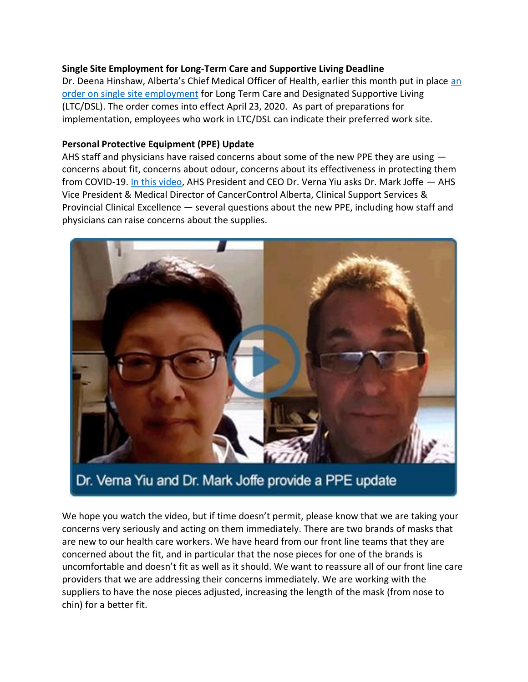#### **Single Site Employment for Long-Term Care and Supportive Living Deadline**

Dr. Deena Hinshaw, Alberta's Chief Medical Officer of Health, earlier this month put in place [an](https://open.alberta.ca/publications/cmoh-order-10-2020-2020-covid-19-response)  [order on single site employment](https://open.alberta.ca/publications/cmoh-order-10-2020-2020-covid-19-response) for Long Term Care and Designated Supportive Living (LTC/DSL). The order comes into effect April 23, 2020. As part of preparations for implementation, employees who work in LTC/DSL can indicate their preferred work site.

#### **Personal Protective Equipment (PPE) Update**

AHS staff and physicians have raised concerns about some of the new PPE they are using  $$ concerns about fit, concerns about odour, concerns about its effectiveness in protecting them from COVID-19. [In this video,](https://www.albertahealthservices.ca/topics/page17093.aspx) AHS President and CEO Dr. Verna Yiu asks Dr. Mark Joffe — AHS Vice President & Medical Director of CancerControl Alberta, Clinical Support Services & Provincial Clinical Excellence — several questions about the new PPE, including how staff and physicians can raise concerns about the supplies.



Dr. Verna Yiu and Dr. Mark Joffe provide a PPE update

We hope you watch the video, but if time doesn't permit, please know that we are taking your concerns very seriously and acting on them immediately. There are two brands of masks that are new to our health care workers. We have heard from our front line teams that they are concerned about the fit, and in particular that the nose pieces for one of the brands is uncomfortable and doesn't fit as well as it should. We want to reassure all of our front line care providers that we are addressing their concerns immediately. We are working with the suppliers to have the nose pieces adjusted, increasing the length of the mask (from nose to chin) for a better fit.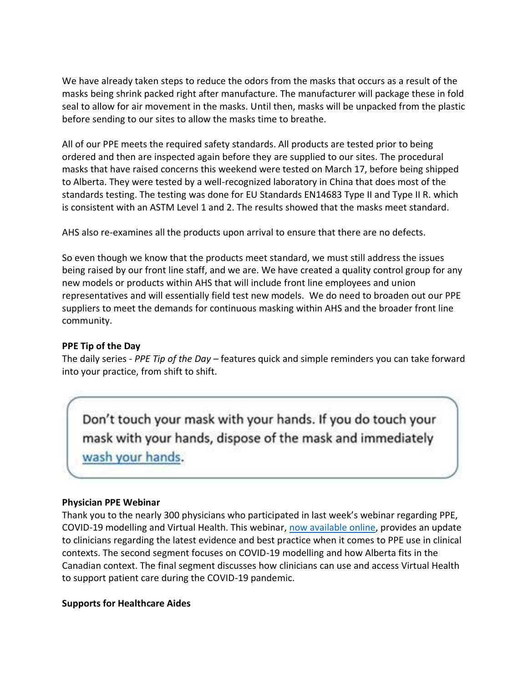We have already taken steps to reduce the odors from the masks that occurs as a result of the masks being shrink packed right after manufacture. The manufacturer will package these in fold seal to allow for air movement in the masks. Until then, masks will be unpacked from the plastic before sending to our sites to allow the masks time to breathe.

All of our PPE meets the required safety standards. All products are tested prior to being ordered and then are inspected again before they are supplied to our sites. The procedural masks that have raised concerns this weekend were tested on March 17, before being shipped to Alberta. They were tested by a well-recognized laboratory in China that does most of the standards testing. The testing was done for EU Standards EN14683 Type II and Type II R. which is consistent with an ASTM Level 1 and 2. The results showed that the masks meet standard.

AHS also re-examines all the products upon arrival to ensure that there are no defects.

So even though we know that the products meet standard, we must still address the issues being raised by our front line staff, and we are. We have created a quality control group for any new models or products within AHS that will include front line employees and union representatives and will essentially field test new models. We do need to broaden out our PPE suppliers to meet the demands for continuous masking within AHS and the broader front line community.

#### **PPE Tip of the Day**

The daily series - *PPE Tip of the Day* – features quick and simple reminders you can take forward into your practice, from shift to shift.

Don't touch your mask with your hands. If you do touch your mask with your hands, dispose of the mask and immediately wash your hands.

#### **Physician PPE Webinar**

Thank you to the nearly 300 physicians who participated in last week's webinar regarding PPE, COVID-19 modelling and Virtual Health. This webinar, [now available online,](https://www.youtube.com/watch?v=4XfRdRFyEkw&feature=youtu.be) provides an update to clinicians regarding the latest evidence and best practice when it comes to PPE use in clinical contexts. The second segment focuses on COVID-19 modelling and how Alberta fits in the Canadian context. The final segment discusses how clinicians can use and access Virtual Health to support patient care during the COVID-19 pandemic.

#### **Supports for Healthcare Aides**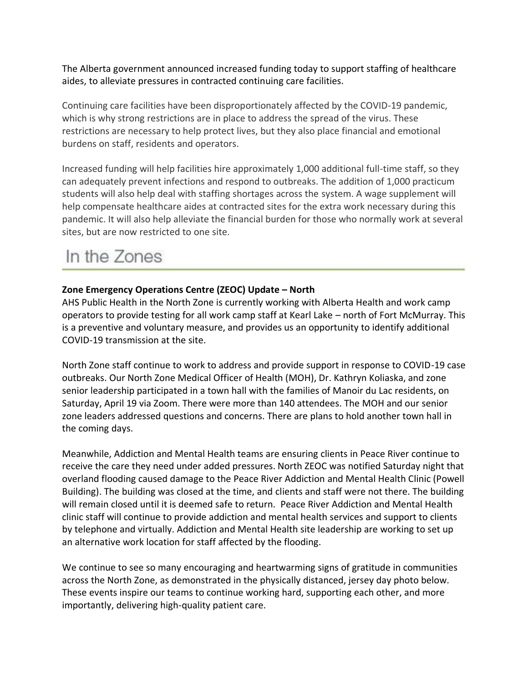The Alberta government announced increased funding today to support staffing of healthcare aides, to alleviate pressures in contracted continuing care facilities.

Continuing care facilities have been disproportionately affected by the COVID-19 pandemic, which is why strong restrictions are in place to address the spread of the virus. These restrictions are necessary to help protect lives, but they also place financial and emotional burdens on staff, residents and operators.

Increased funding will help facilities hire approximately 1,000 additional full-time staff, so they can adequately prevent infections and respond to outbreaks. The addition of 1,000 practicum students will also help deal with staffing shortages across the system. A wage supplement will help compensate healthcare aides at contracted sites for the extra work necessary during this pandemic. It will also help alleviate the financial burden for those who normally work at several sites, but are now restricted to one site.

## In the Zones

#### **Zone Emergency Operations Centre (ZEOC) Update – North**

AHS Public Health in the North Zone is currently working with Alberta Health and work camp operators to provide testing for all work camp staff at Kearl Lake – north of Fort McMurray. This is a preventive and voluntary measure, and provides us an opportunity to identify additional COVID-19 transmission at the site.

North Zone staff continue to work to address and provide support in response to COVID-19 case outbreaks. Our North Zone Medical Officer of Health (MOH), Dr. Kathryn Koliaska, and zone senior leadership participated in a town hall with the families of Manoir du Lac residents, on Saturday, April 19 via Zoom. There were more than 140 attendees. The MOH and our senior zone leaders addressed questions and concerns. There are plans to hold another town hall in the coming days.

Meanwhile, Addiction and Mental Health teams are ensuring clients in Peace River continue to receive the care they need under added pressures. North ZEOC was notified Saturday night that overland flooding caused damage to the Peace River Addiction and Mental Health Clinic (Powell Building). The building was closed at the time, and clients and staff were not there. The building will remain closed until it is deemed safe to return. Peace River Addiction and Mental Health clinic staff will continue to provide addiction and mental health services and support to clients by telephone and virtually. Addiction and Mental Health site leadership are working to set up an alternative work location for staff affected by the flooding.

We continue to see so many encouraging and heartwarming signs of gratitude in communities across the North Zone, as demonstrated in the physically distanced, jersey day photo below. These events inspire our teams to continue working hard, supporting each other, and more importantly, delivering high-quality patient care.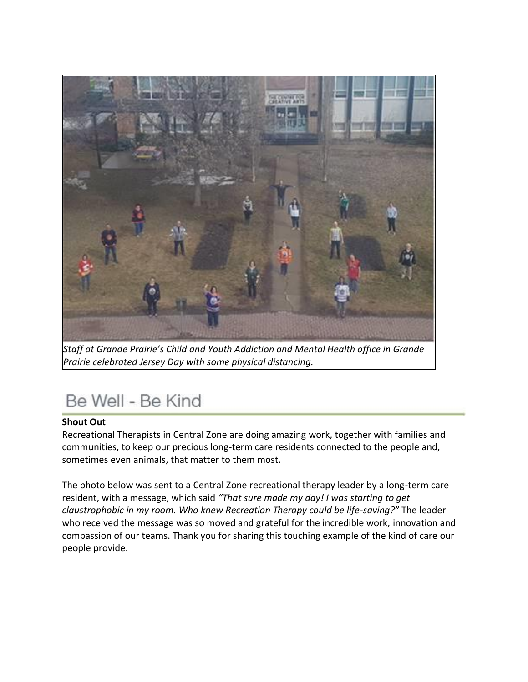

*Staff at Grande Prairie's Child and Youth Addiction and Mental Health office in Grande Prairie celebrated Jersey Day with some physical distancing.*

## Be Well - Be Kind

#### **Shout Out**

Recreational Therapists in Central Zone are doing amazing work, together with families and communities, to keep our precious long-term care residents connected to the people and, sometimes even animals, that matter to them most.

The photo below was sent to a Central Zone recreational therapy leader by a long-term care resident, with a message, which said *"That sure made my day! I was starting to get claustrophobic in my room. Who knew Recreation Therapy could be life-saving?"* The leader who received the message was so moved and grateful for the incredible work, innovation and compassion of our teams. Thank you for sharing this touching example of the kind of care our people provide.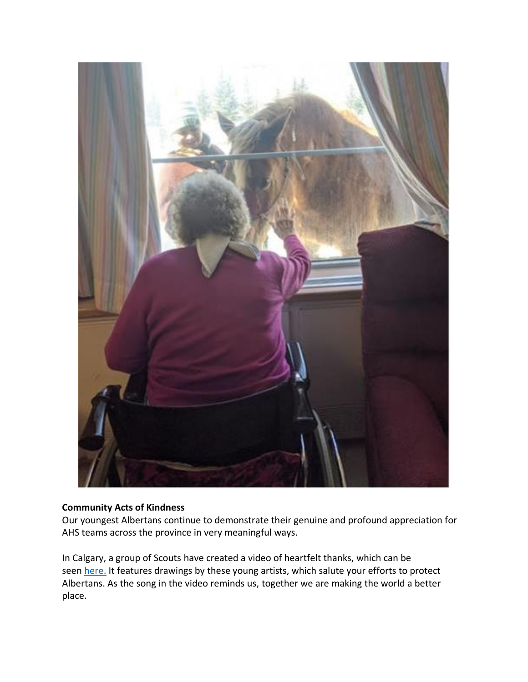

#### **Community Acts of Kindness**

Our youngest Albertans continue to demonstrate their genuine and profound appreciation for AHS teams across the province in very meaningful ways.

In Calgary, a group of Scouts have created a video of heartfelt thanks, which can be seen [here.](https://www.youtube.com/watch?v=GVOkaxLZKYM) It features drawings by these young artists, which salute your efforts to protect Albertans. As the song in the video reminds us, together we are making the world a better place.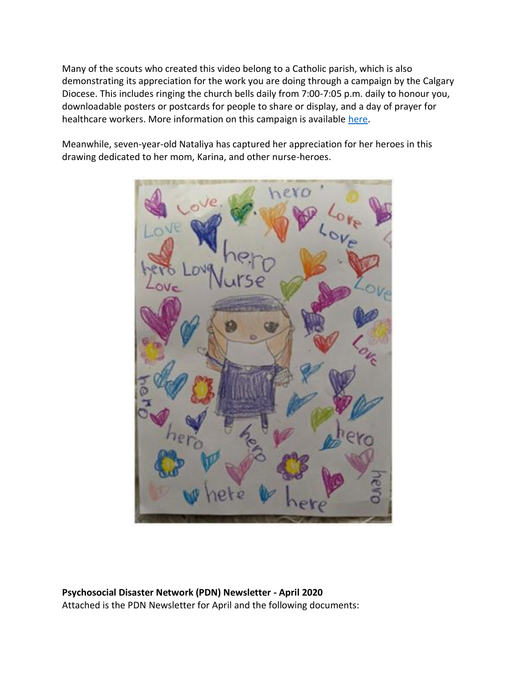Many of the scouts who created this video belong to a Catholic parish, which is also demonstrating its appreciation for the work you are doing through a campaign by the Calgary Diocese. This includes ringing the church bells daily from 7:00-7:05 p.m. daily to honour you, downloadable posters or postcards for people to share or display, and a day of prayer for healthcare workers. More information on this campaign is available [here.](https://www.catholicyyc.ca/heartofjesus.html)

Meanwhile, seven-year-old Nataliya has captured her appreciation for her heroes in this drawing dedicated to her mom, Karina, and other nurse-heroes.



**Psychosocial Disaster Network (PDN) Newsletter - April 2020** Attached is the PDN Newsletter for April and the following documents: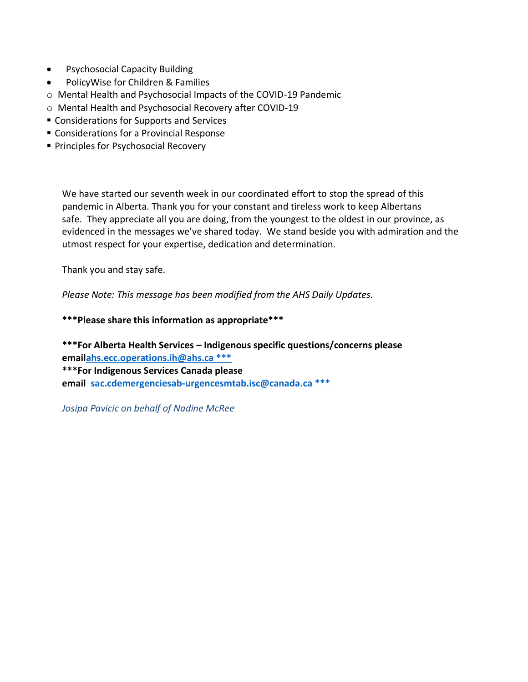- Psychosocial Capacity Building
- PolicyWise for Children & Families
- o Mental Health and Psychosocial Impacts of the COVID-19 Pandemic
- o Mental Health and Psychosocial Recovery after COVID-19
- Considerations for Supports and Services
- Considerations for a Provincial Response
- **Principles for Psychosocial Recovery**

We have started our seventh week in our coordinated effort to stop the spread of this pandemic in Alberta. Thank you for your constant and tireless work to keep Albertans safe. They appreciate all you are doing, from the youngest to the oldest in our province, as evidenced in the messages we've shared today. We stand beside you with admiration and the utmost respect for your expertise, dedication and determination.

Thank you and stay safe.

*Please Note: This message has been modified from the AHS Daily Updates.*

**\*\*\*Please share this information as appropriate\*\*\***

**\*\*\*For Alberta Health Services – Indigenous specific questions/concerns please emai[lahs.ecc.operations.ih@ahs.ca \\*\\*\\*](mailto:ahs.ecc.operations.ih@ahs.ca%20***) \*\*\*For Indigenous Services Canada please email [sac.cdemergenciesab-urgencesmtab.isc@canada.ca](mailto:sac.cdemergenciesab-urgencesmtab.isc@canada.ca) \*\*\***

*Josipa Pavicic on behalf of Nadine McRee*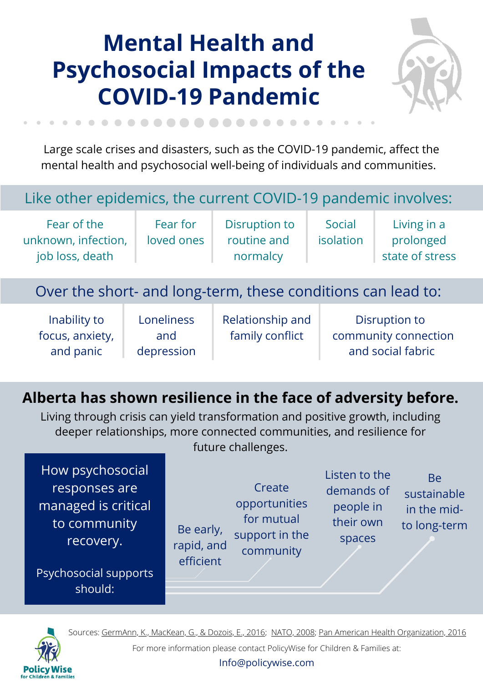## **Mental Health and Psychosocial Impacts of the COVID-19 Pandemic**



Large scale crises and disasters, such as the COVID-19 pandemic, affect the mental health and psychosocial well-being of individuals and communities.

## Like other epidemics, the current COVID-19 pandemic involves:

Fear of the unknown, infection, job loss, death

Fear for loved ones Disruption to routine and normalcy

Social isolation

Living in a prolonged state of stress

## Over the short- and long-term, these conditions can lead to:

Inability to focus, anxiety, and panic

Loneliness and depression Relationship and family conflict

Disruption to community connection and social fabric

## **Alberta has shown resilience in the face of adversity before.**

Living through crisis can yield transformation and positive growth, including deeper relationships, more connected communities, and resilience for

How psychosocial responses are managed is critical to community recovery.

Psychosocial supports should:

future challenges.

Be early, rapid, and efficient **Create** opportunities for mutual support in the community

Listen to the demands of people in their own spaces

Be sustainable in the midto long-term



Sources: [GermAnn,](https://policywise.com/wp-content/uploads/resources/2016/09/2016-05MAY-31-Skills-for-Psychological-Recovery-Literature-Review.pdf) K., MacKean, G., & Dozois, E., 2016; [NATO,](https://www.coe.int/t/dg4/majorhazards/ressources/virtuallibrary/materials/Others/NATO_Guidance_Psychosocial_Care_for_People_Affected_by_Disasters_and_Major_Incidents.pdf) 2008; Pan American Health [Organization,](https://www.paho.org/disasters/index.php?option=com_docman&view=download&category_slug=mental-health&alias=2542-mental-health-protection-psychosocial-support-epidemic-settings-2016-542&Itemid=1179&lang=en) 2016

For more information please contact PolicyWise for Children & Families at:

Info@policywise.com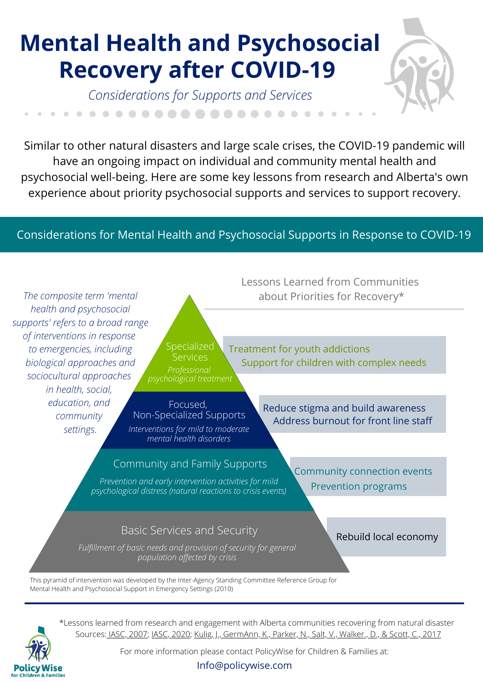# **Mental Health and Psychosocial Recovery after COVID-19**

*Considerations for Supports and Services*

Similar to other natural disasters and large scale crises, the COVID-19 pandemic will have an ongoing impact on individual and community mental health and psychosocial well-being. Here are some key lessons from research and Alberta's own experience about priority psychosocial supports and services to support recovery.

Considerations for Mental Health and Psychosocial Supports in Response to COVID-19



Mental Health and Psychosocial Support in Emergency Settings (2010)



\*Lessons learned from research and engagement with Alberta communities recovering from natural disaster Sources: IASC, [2007;](https://www.who.int/mental_health/emergencies/guidelines_iasc_mental_health_psychosocial_june_2007.pdf) IASC, [2020;](https://interagencystandingcommittee.org/system/files/2020-03/IASC%20Interim%20Briefing%20Note%20on%20COVID-19%20Outbreak%20Readiness%20and%20Response%20Operations%20-%20MHPSS%20%28French%29_0.pdf) Kulig, J., [GermAnn,](https://open.alberta.ca/publications/psychosocial-response-and-recovery-evaluation-of-the-rmwb-wildfire-2016) K., Parker, N., Salt, V., Walker., D., & Scott, C., 2017

For more information please contact PolicyWise for Children & Families at:

Info@policywise.com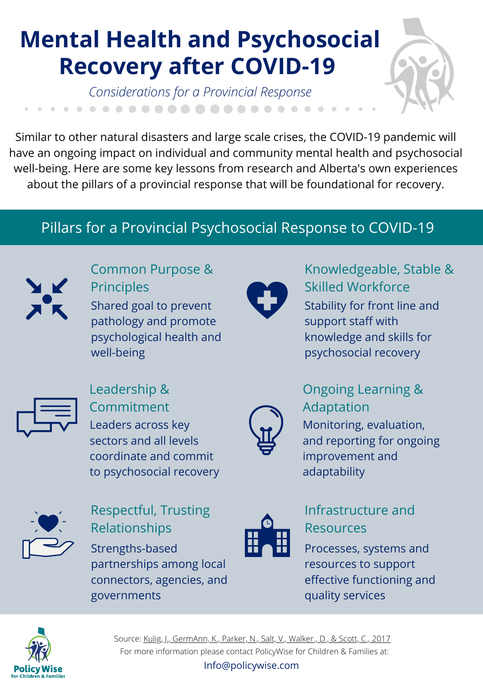# **Mental Health and Psychosocial Recovery after COVID-19**

*Considerations for a Provincial Response* 

Similar to other natural disasters and large scale crises, the COVID-19 pandemic will have an ongoing impact on individual and community mental health and psychosocial well-being. Here are some key lessons from research and Alberta's own experiences about the pillars of a provincial response that will be foundational for recovery.

## Pillars for a Provincial Psychosocial Response to COVID-19



Common Purpose & Principles Shared goal to prevent

pathology and promote psychological health and well-being



Knowledgeable, Stable & Skilled Workforce Stability for front line and support staff with knowledge and skills for psychosocial recovery



Leadership & Commitment Leaders across key sectors and all levels coordinate and commit to psychosocial recovery



### Ongoing Learning & Adaptation

Monitoring, evaluation, and reporting for ongoing improvement and adaptability



Respectful, Trusting Relationships

Strengths-based partnerships among local connectors, agencies, and governments



### Infrastructure and Resources

Processes, systems and resources to support effective functioning and quality services



For more information please contact PolicyWise for Children & Families at: Info@policywise.com Source: Kulig, J., [GermAnn,](https://open.alberta.ca/publications/psychosocial-response-and-recovery-evaluation-of-the-rmwb-wildfire-2016) K., Parker, N., Salt, V., Walker., D., & Scott, C., 2017